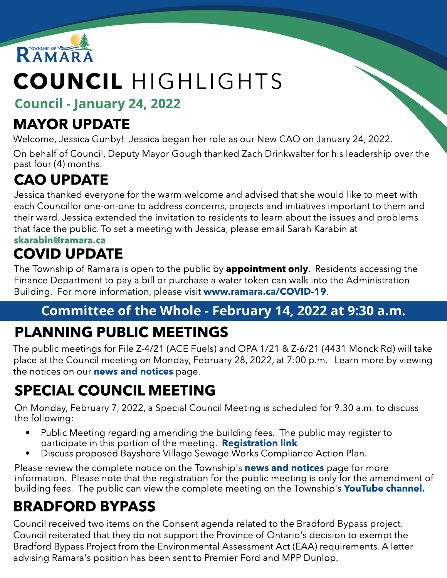

# COUNCIL HIGHLIGHTS

Council - January 24, 2022

### MAYOR UPDATE

Welcome, Jessica Gunby! Jessica began her role as our New CAO on January 24, 2022.

On behalf of Council, Deputy Mayor Gough thanked Zach Drinkwalter for his leadership over the past four (4) months.

# CAO UPDATE

Jessica thanked everyone for the warm welcome and advised that she would like to meet with each Councillor one-on-one to address concerns, projects and initiatives important to them and their ward. Jessica extended the invitation to residents to learn about the issues and problems that face the public. To set a meeting with Jessica, please email Sarah Karabin at [skarabin@ramara.ca](mailto:skarabin@ramara.ca)

### COVID UPDATE

The Township of Ramara is open to the public by **appointment only**. Residents accessing the Finance Department to pay a bill or purchase a water token can walk into the Administration Building. For more information, please visit ww[w.ramara.ca/COVID-19](http://www.ramara.ca/covid-19).

#### Committee of the Whole - February 14, 2022 at 9:30 a.m. PLANNING PUBLIC MEETINGS

The public meetings for File Z-4/21 (ACE Fuels) and OPA 1/21 & Z-6/21 (4431 Monck Rd) will take place at the Council meeting on Monday, February 28, 2022, at 7:00 p.m. Learn more by viewing the [notices](https://www.ramara.ca/Modules/News/en) on our **[new](https://www.ramara.ca/Modules/News/en)s [and](https://www.ramara.ca/Modules/News/en) notices** page.

## SPECIAL COUNCIL MEETING

On Monday, February 7, 2022, a Special Council Meeting is scheduled for 9:30 a.m. to discuss the following:

- Public Meeting regarding amending the building fees. The public may register to participate in this portion of the meeting. **[Registration](https://forms.ramara.ca/Legislative-and-Community-Services/Public-Meeting-Building-Fees-Amendments) [link](https://forms.ramara.ca/Legislative-and-Community-Services/Public-Meeting-Building-Fees-Amendments)**
- Discuss proposed Bayshore Village Sewage Works Compliance Action Plan.

Please review the complete notice on the Township's **[new](https://www.ramara.ca/Modules/News/en)s [and](https://www.ramara.ca/Modules/News/en) [notices](https://www.ramara.ca/Modules/News/en)** page for more information. Please note that the registration for the public meeting is only for the amendment of building fees. The public can view the complete meeting on the Township's [YouTube](https://www.youtube.com/channel/UClYspODBjK5nNnr9XtC7oug) [channel.](https://www.youtube.com/channel/UClYspODBjK5nNnr9XtC7oug)

#### BRADFORD BYPASS

Council received two items on the Consent agenda related to the Bradford Bypass project. Council reiterated that they do not support the Province of Ontario's decision to exempt the Bradford Bypass Project from the Environmental Assessment Act (EAA) requirements. A letter advising Ramara's position has been sent to Premier Ford and MPP Dunlop.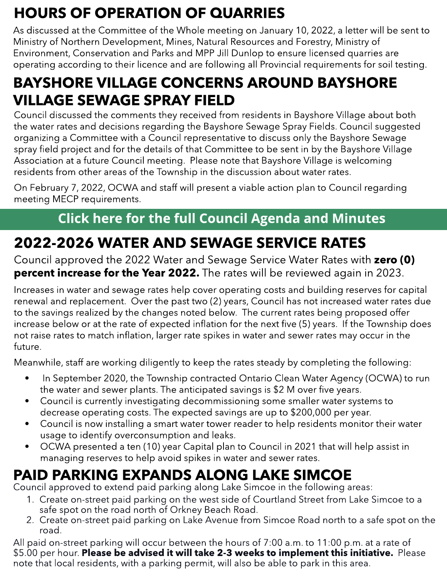# HOURS OF OPERATION OF QUARRIES

As discussed at the Committee of the Whole meeting on January 10, 2022, a letter will be sent to Ministry of Northern Development, Mines, Natural Resources and Forestry, Ministry of Environment, Conservation and Parks and MPP Jill Dunlop to ensure licensed quarries are operating according to their licence and are following all Provincial requirements for soil testing.

#### BAYSHORE VILLAGE CONCERNS AROUND BAYSHORE VILLAGE SEWAGE SPRAY FIELD

Council discussed the comments they received from residents in Bayshore Village about both the water rates and decisions regarding the Bayshore Sewage Spray Fields. Council suggested organizing a Committee with a Council representative to discuss only the Bayshore Sewage spray field project and for the details of that Committee to be sent in by the Bayshore Village Association at a future Council meeting. Please note that Bayshore Village is welcoming residents from other areas of the Township in the discussion about water rates.

On February 7, 2022, OCWA and staff will present a viable action plan to Council regarding meeting MECP requirements.

#### [Click](https://ramara.civicweb.net/portal/) [here](https://ramara.civicweb.net/portal/) [for](https://ramara.civicweb.net/portal/) t[he](https://ramara.civicweb.net/portal/) [full](https://ramara.civicweb.net/portal/) [Council](https://ramara.civicweb.net/portal/) [Agenda](https://ramara.civicweb.net/portal/) [and](https://ramara.civicweb.net/portal/) [Minut](https://ramara.civicweb.net/portal/)es

### 2022-2026 WATER AND SEWAGE SERVICE RATES

Council approved the 2022 Water and Sewage Service Water Rates with zero (0) **percent increase for the Year 2022.** The rates will be reviewed again in 2023.

not raise rates to materi initiation, larger rate<br>future. Increases in water and sewage rates help cover operating costs and building reserves for capital renewal and replacement. Over the past two (2) years, Council has not increased water rates due to the savings realized by the changes noted below. The current rates being proposed offer increase below or at the rate of expected inflation for the next five (5) years. If the Township does not raise rates to match inflation, larger rate spikes in water and sewer rates may occur in the future.

Meanwhile, staff are working diligently to keep the rates steady by completing the following:

- ond in September 2020, the Township contracted Ontario Clean Water Agency (OCWA) to run<br>- In September 2020, the Township contracted Ontario Clean Water Agency (OCWA) to run the water and sewer plants. The anticipated savings is \$2 M over five years.
- Council is currently investigating decommissioning some smaller water systems to decrease operating costs. The expected savings are up to \$200,000 per year.
- limiting costs, me expected savings are up to \$200,000 per year.<br>Council is now installing a smart water tower reader to help residents monitor their water thinking of creative ways to celebrate the season virtually. usage to identify overconsumption and leaks.
	- OCWA presented a ten (10) year Capital plan to Council in 2021 that will help assist in managing reserves to help avoid spikes in water and sewer rates.

### PAID PARKING EXPANDS ALONG LAKE SIMCOE

Council approved to extend paid parking along Lake Simcoe in the following areas:

- 1. Create on-street paid parking on the west side of Courtland Street from Lake Simcoe to a safe spot on the road north of Orkney Beach Road.
- 2. Create on-street paid parking on Lake Avenue from Simcoe Road north to a safe spot on the road.

All paid on-street parking will occur between the hours of 7:00 a.m. to 11:00 p.m. at a rate of \$5.00 per hour. Please be advised it will take 2-3 weeks to implement this initiative. Please note that local residents, with a parking permit, will also be able to park in this area.